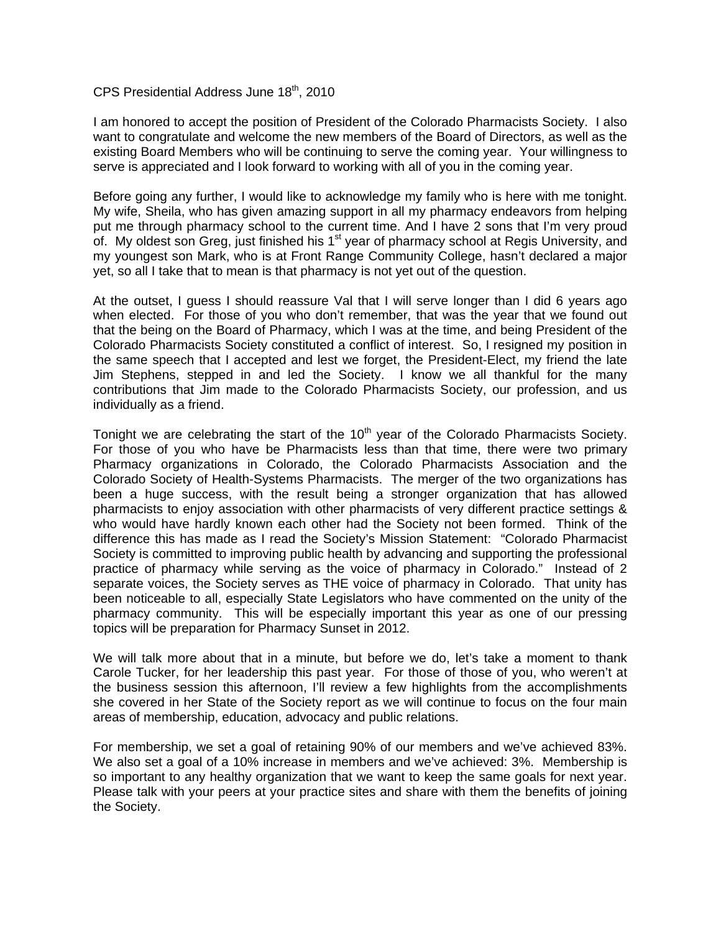## CPS Presidential Address June 18<sup>th</sup>, 2010

I am honored to accept the position of President of the Colorado Pharmacists Society. I also want to congratulate and welcome the new members of the Board of Directors, as well as the existing Board Members who will be continuing to serve the coming year. Your willingness to serve is appreciated and I look forward to working with all of you in the coming year.

Before going any further, I would like to acknowledge my family who is here with me tonight. My wife, Sheila, who has given amazing support in all my pharmacy endeavors from helping put me through pharmacy school to the current time. And I have 2 sons that I'm very proud of. My oldest son Greg, just finished his  $1<sup>st</sup>$  year of pharmacy school at Regis University, and my youngest son Mark, who is at Front Range Community College, hasn't declared a major yet, so all I take that to mean is that pharmacy is not yet out of the question.

At the outset, I guess I should reassure Val that I will serve longer than I did 6 years ago when elected. For those of you who don't remember, that was the year that we found out that the being on the Board of Pharmacy, which I was at the time, and being President of the Colorado Pharmacists Society constituted a conflict of interest. So, I resigned my position in the same speech that I accepted and lest we forget, the President-Elect, my friend the late Jim Stephens, stepped in and led the Society. I know we all thankful for the many contributions that Jim made to the Colorado Pharmacists Society, our profession, and us individually as a friend.

Tonight we are celebrating the start of the 10<sup>th</sup> year of the Colorado Pharmacists Society. For those of you who have be Pharmacists less than that time, there were two primary Pharmacy organizations in Colorado, the Colorado Pharmacists Association and the Colorado Society of Health-Systems Pharmacists. The merger of the two organizations has been a huge success, with the result being a stronger organization that has allowed pharmacists to enjoy association with other pharmacists of very different practice settings & who would have hardly known each other had the Society not been formed. Think of the difference this has made as I read the Society's Mission Statement: "Colorado Pharmacist Society is committed to improving public health by advancing and supporting the professional practice of pharmacy while serving as the voice of pharmacy in Colorado." Instead of 2 separate voices, the Society serves as THE voice of pharmacy in Colorado. That unity has been noticeable to all, especially State Legislators who have commented on the unity of the pharmacy community. This will be especially important this year as one of our pressing topics will be preparation for Pharmacy Sunset in 2012.

We will talk more about that in a minute, but before we do, let's take a moment to thank Carole Tucker, for her leadership this past year. For those of those of you, who weren't at the business session this afternoon, I'll review a few highlights from the accomplishments she covered in her State of the Society report as we will continue to focus on the four main areas of membership, education, advocacy and public relations.

For membership, we set a goal of retaining 90% of our members and we've achieved 83%. We also set a goal of a 10% increase in members and we've achieved: 3%. Membership is so important to any healthy organization that we want to keep the same goals for next year. Please talk with your peers at your practice sites and share with them the benefits of joining the Society.